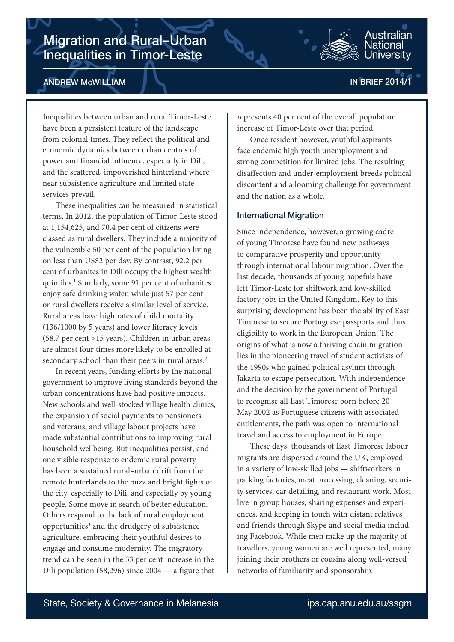# Migration and Rural–Urban Inequalities in Timor-Leste



IN BRIEF 2014/1

Australian Jational Iniversitv

Inequalities between urban and rural Timor-Leste have been a persistent feature of the landscape from colonial times. They reflect the political and economic dynamics between urban centres of power and financial influence, especially in Dili, and the scattered, impoverished hinterland where near subsistence agriculture and limited state services prevail.

These inequalities can be measured in statistical terms. In 2012, the population of Timor-Leste stood at 1,154,625, and 70.4 per cent of citizens were classed as rural dwellers. They include a majority of the vulnerable 50 per cent of the population living on less than US\$2 per day. By contrast, 92.2 per cent of urbanites in Dili occupy the highest wealth quintiles.1 Similarly, some 91 per cent of urbanites enjoy safe drinking water, while just 57 per cent or rural dwellers receive a similar level of service. Rural areas have high rates of child mortality (136/1000 by 5 years) and lower literacy levels (58.7 per cent >15 years). Children in urban areas are almost four times more likely to be enrolled at secondary school than their peers in rural areas.<sup>2</sup>

In recent years, funding efforts by the national government to improve living standards beyond the urban concentrations have had positive impacts. New schools and well-stocked village health clinics, the expansion of social payments to pensioners and veterans, and village labour projects have made substantial contributions to improving rural household wellbeing. But inequalities persist, and one visible response to endemic rural poverty has been a sustained rural–urban drift from the remote hinterlands to the buzz and bright lights of the city, especially to Dili, and especially by young people. Some move in search of better education. Others respond to the lack of rural employment opportunities<sup>3</sup> and the drudgery of subsistence agriculture, embracing their youthful desires to engage and consume modernity. The migratory trend can be seen in the 33 per cent increase in the Dili population (58,296) since 2004 — a figure that

represents 40 per cent of the overall population increase of Timor-Leste over that period.

Once resident however, youthful aspirants face endemic high youth unemployment and strong competition for limited jobs. The resulting disaffection and under-employment breeds political discontent and a looming challenge for government and the nation as a whole.

## International Migration

Since independence, however, a growing cadre of young Timorese have found new pathways to comparative prosperity and opportunity through international labour migration. Over the last decade, thousands of young hopefuls have left Timor-Leste for shiftwork and low-skilled factory jobs in the United Kingdom. Key to this surprising development has been the ability of East Timorese to secure Portuguese passports and thus eligibility to work in the European Union. The origins of what is now a thriving chain migration lies in the pioneering travel of student activists of the 1990s who gained political asylum through Jakarta to escape persecution. With independence and the decision by the government of Portugal to recognise all East Timorese born before 20 May 2002 as Portuguese citizens with associated entitlements, the path was open to international travel and access to employment in Europe.

These days, thousands of East Timorese labour migrants are dispersed around the UK, employed in a variety of low-skilled jobs — shiftworkers in packing factories, meat processing, cleaning, security services, car detailing, and restaurant work. Most live in group houses, sharing expenses and experiences, and keeping in touch with distant relatives and friends through Skype and social media including Facebook. While men make up the majority of travellers, young women are well represented, many joining their brothers or cousins along well-versed networks of familiarity and sponsorship.